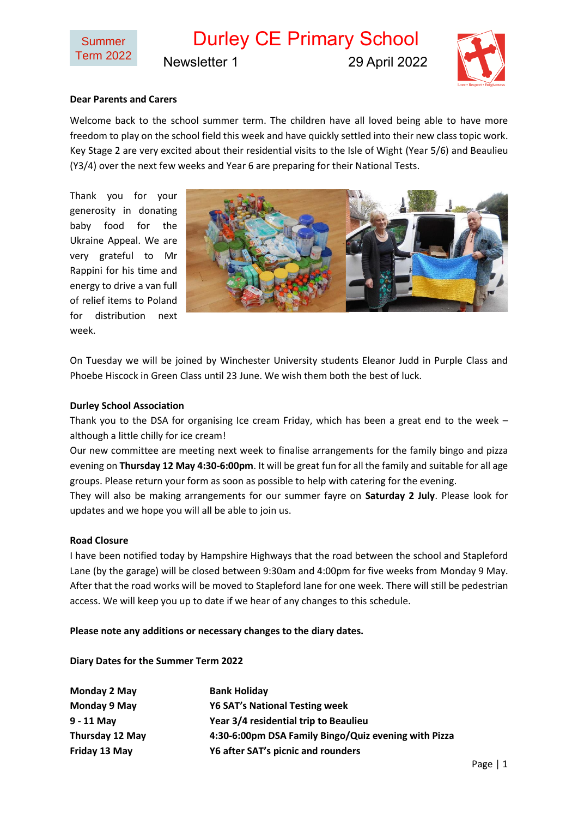Durley CE Primary School Newsletter 1 29 April 2022



## **Dear Parents and Carers**

Welcome back to the school summer term. The children have all loved being able to have more freedom to play on the school field this week and have quickly settled into their new class topic work. Key Stage 2 are very excited about their residential visits to the Isle of Wight (Year 5/6) and Beaulieu (Y3/4) over the next few weeks and Year 6 are preparing for their National Tests.

Thank you for your generosity in donating baby food for the Ukraine Appeal. We are very grateful to Mr Rappini for his time and energy to drive a van full of relief items to Poland for distribution next week.



On Tuesday we will be joined by Winchester University students Eleanor Judd in Purple Class and Phoebe Hiscock in Green Class until 23 June. We wish them both the best of luck.

## **Durley School Association**

Thank you to the DSA for organising Ice cream Friday, which has been a great end to the week  $$ although a little chilly for ice cream!

Our new committee are meeting next week to finalise arrangements for the family bingo and pizza evening on **Thursday 12 May 4:30-6:00pm**. It will be great fun for all the family and suitable for all age groups. Please return your form as soon as possible to help with catering for the evening.

They will also be making arrangements for our summer fayre on **Saturday 2 July**. Please look for updates and we hope you will all be able to join us.

## **Road Closure**

I have been notified today by Hampshire Highways that the road between the school and Stapleford Lane (by the garage) will be closed between 9:30am and 4:00pm for five weeks from Monday 9 May. After that the road works will be moved to Stapleford lane for one week. There will still be pedestrian access. We will keep you up to date if we hear of any changes to this schedule.

**Please note any additions or necessary changes to the diary dates.**

## **Diary Dates for the Summer Term 2022**

| Monday 2 May           | <b>Bank Holiday</b>                                  |
|------------------------|------------------------------------------------------|
| Monday 9 May           | <b>Y6 SAT's National Testing week</b>                |
| $9 - 11$ May           | Year 3/4 residential trip to Beaulieu                |
| <b>Thursday 12 May</b> | 4:30-6:00pm DSA Family Bingo/Quiz evening with Pizza |
| Friday 13 May          | Y6 after SAT's picnic and rounders                   |